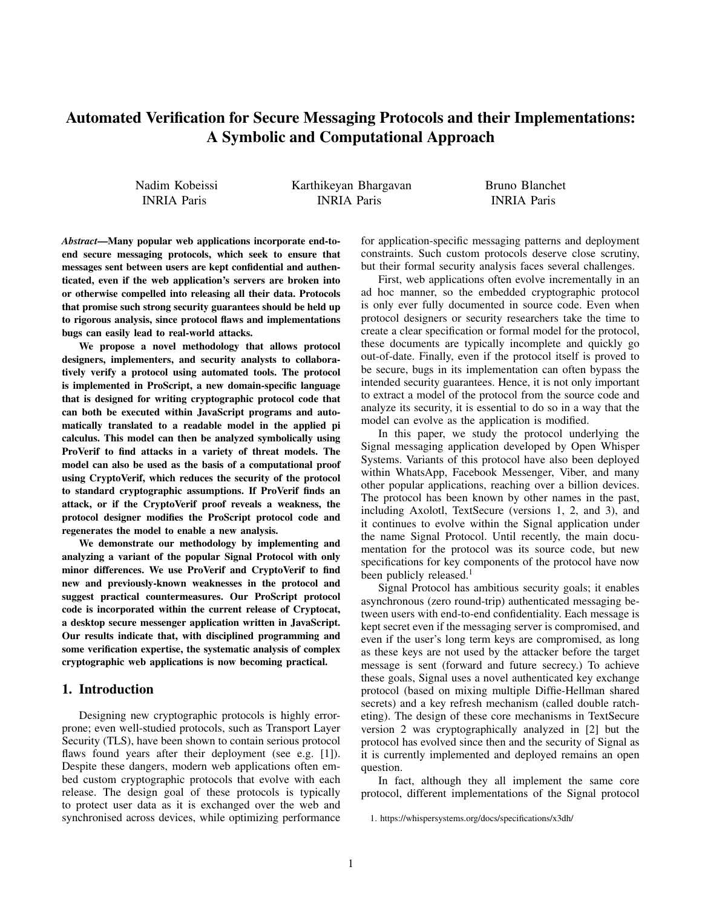# Automated Verification for Secure Messaging Protocols and their Implementations: A Symbolic and Computational Approach

Nadim Kobeissi INRIA Paris

Karthikeyan Bhargavan INRIA Paris

Bruno Blanchet INRIA Paris

*Abstract*—Many popular web applications incorporate end-toend secure messaging protocols, which seek to ensure that messages sent between users are kept confidential and authenticated, even if the web application's servers are broken into or otherwise compelled into releasing all their data. Protocols that promise such strong security guarantees should be held up to rigorous analysis, since protocol flaws and implementations bugs can easily lead to real-world attacks.

We propose a novel methodology that allows protocol designers, implementers, and security analysts to collaboratively verify a protocol using automated tools. The protocol is implemented in ProScript, a new domain-specific language that is designed for writing cryptographic protocol code that can both be executed within JavaScript programs and automatically translated to a readable model in the applied pi calculus. This model can then be analyzed symbolically using ProVerif to find attacks in a variety of threat models. The model can also be used as the basis of a computational proof using CryptoVerif, which reduces the security of the protocol to standard cryptographic assumptions. If ProVerif finds an attack, or if the CryptoVerif proof reveals a weakness, the protocol designer modifies the ProScript protocol code and regenerates the model to enable a new analysis.

We demonstrate our methodology by implementing and analyzing a variant of the popular Signal Protocol with only minor differences. We use ProVerif and CryptoVerif to find new and previously-known weaknesses in the protocol and suggest practical countermeasures. Our ProScript protocol code is incorporated within the current release of Cryptocat, a desktop secure messenger application written in JavaScript. Our results indicate that, with disciplined programming and some verification expertise, the systematic analysis of complex cryptographic web applications is now becoming practical.

## 1. Introduction

Designing new cryptographic protocols is highly errorprone; even well-studied protocols, such as Transport Layer Security (TLS), have been shown to contain serious protocol flaws found years after their deployment (see e.g. [1]). Despite these dangers, modern web applications often embed custom cryptographic protocols that evolve with each release. The design goal of these protocols is typically to protect user data as it is exchanged over the web and synchronised across devices, while optimizing performance for application-specific messaging patterns and deployment constraints. Such custom protocols deserve close scrutiny, but their formal security analysis faces several challenges.

First, web applications often evolve incrementally in an ad hoc manner, so the embedded cryptographic protocol is only ever fully documented in source code. Even when protocol designers or security researchers take the time to create a clear specification or formal model for the protocol, these documents are typically incomplete and quickly go out-of-date. Finally, even if the protocol itself is proved to be secure, bugs in its implementation can often bypass the intended security guarantees. Hence, it is not only important to extract a model of the protocol from the source code and analyze its security, it is essential to do so in a way that the model can evolve as the application is modified.

In this paper, we study the protocol underlying the Signal messaging application developed by Open Whisper Systems. Variants of this protocol have also been deployed within WhatsApp, Facebook Messenger, Viber, and many other popular applications, reaching over a billion devices. The protocol has been known by other names in the past, including Axolotl, TextSecure (versions 1, 2, and 3), and it continues to evolve within the Signal application under the name Signal Protocol. Until recently, the main documentation for the protocol was its source code, but new specifications for key components of the protocol have now been publicly released.<sup>1</sup>

Signal Protocol has ambitious security goals; it enables asynchronous (zero round-trip) authenticated messaging between users with end-to-end confidentiality. Each message is kept secret even if the messaging server is compromised, and even if the user's long term keys are compromised, as long as these keys are not used by the attacker before the target message is sent (forward and future secrecy.) To achieve these goals, Signal uses a novel authenticated key exchange protocol (based on mixing multiple Diffie-Hellman shared secrets) and a key refresh mechanism (called double ratcheting). The design of these core mechanisms in TextSecure version 2 was cryptographically analyzed in [2] but the protocol has evolved since then and the security of Signal as it is currently implemented and deployed remains an open question.

In fact, although they all implement the same core protocol, different implementations of the Signal protocol

<sup>1.</sup> https://whispersystems.org/docs/specifications/x3dh/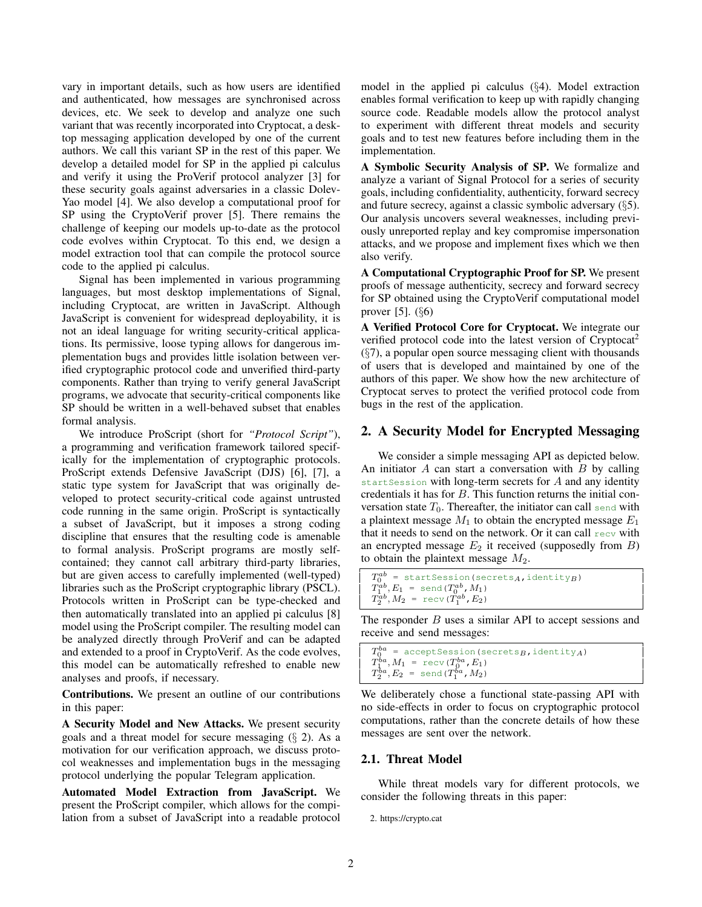vary in important details, such as how users are identified and authenticated, how messages are synchronised across devices, etc. We seek to develop and analyze one such variant that was recently incorporated into Cryptocat, a desktop messaging application developed by one of the current authors. We call this variant SP in the rest of this paper. We develop a detailed model for SP in the applied pi calculus and verify it using the ProVerif protocol analyzer [3] for these security goals against adversaries in a classic Dolev-Yao model [4]. We also develop a computational proof for SP using the CryptoVerif prover [5]. There remains the challenge of keeping our models up-to-date as the protocol code evolves within Cryptocat. To this end, we design a model extraction tool that can compile the protocol source code to the applied pi calculus.

Signal has been implemented in various programming languages, but most desktop implementations of Signal, including Cryptocat, are written in JavaScript. Although JavaScript is convenient for widespread deployability, it is not an ideal language for writing security-critical applications. Its permissive, loose typing allows for dangerous implementation bugs and provides little isolation between verified cryptographic protocol code and unverified third-party components. Rather than trying to verify general JavaScript programs, we advocate that security-critical components like SP should be written in a well-behaved subset that enables formal analysis.

We introduce ProScript (short for *"Protocol Script"*), a programming and verification framework tailored specifically for the implementation of cryptographic protocols. ProScript extends Defensive JavaScript (DJS) [6], [7], a static type system for JavaScript that was originally developed to protect security-critical code against untrusted code running in the same origin. ProScript is syntactically a subset of JavaScript, but it imposes a strong coding discipline that ensures that the resulting code is amenable to formal analysis. ProScript programs are mostly selfcontained; they cannot call arbitrary third-party libraries, but are given access to carefully implemented (well-typed) libraries such as the ProScript cryptographic library (PSCL). Protocols written in ProScript can be type-checked and then automatically translated into an applied pi calculus [8] model using the ProScript compiler. The resulting model can be analyzed directly through ProVerif and can be adapted and extended to a proof in CryptoVerif. As the code evolves, this model can be automatically refreshed to enable new analyses and proofs, if necessary.

Contributions. We present an outline of our contributions in this paper:

A Security Model and New Attacks. We present security goals and a threat model for secure messaging  $(\S 2)$ . As a motivation for our verification approach, we discuss protocol weaknesses and implementation bugs in the messaging protocol underlying the popular Telegram application.

Automated Model Extraction from JavaScript. We present the ProScript compiler, which allows for the compilation from a subset of JavaScript into a readable protocol model in the applied pi calculus (§4). Model extraction enables formal verification to keep up with rapidly changing source code. Readable models allow the protocol analyst to experiment with different threat models and security goals and to test new features before including them in the implementation.

A Symbolic Security Analysis of SP. We formalize and analyze a variant of Signal Protocol for a series of security goals, including confidentiality, authenticity, forward secrecy and future secrecy, against a classic symbolic adversary (§5). Our analysis uncovers several weaknesses, including previously unreported replay and key compromise impersonation attacks, and we propose and implement fixes which we then also verify.

A Computational Cryptographic Proof for SP. We present proofs of message authenticity, secrecy and forward secrecy for SP obtained using the CryptoVerif computational model prover [5]. (§6)

A Verified Protocol Core for Cryptocat. We integrate our verified protocol code into the latest version of Cryptocat<sup>2</sup>  $(\S7)$ , a popular open source messaging client with thousands of users that is developed and maintained by one of the authors of this paper. We show how the new architecture of Cryptocat serves to protect the verified protocol code from bugs in the rest of the application.

## 2. A Security Model for Encrypted Messaging

We consider a simple messaging API as depicted below. An initiator  $A$  can start a conversation with  $B$  by calling startSession with long-term secrets for  $A$  and any identity credentials it has for B. This function returns the initial conversation state  $T_0$ . Thereafter, the initiator can call send with a plaintext message  $M_1$  to obtain the encrypted message  $E_1$ that it needs to send on the network. Or it can call recv with an encrypted message  $E_2$  it received (supposedly from  $B$ ) to obtain the plaintext message  $M_2$ .

 $T_0^{ab}$  = startSession(secrets<sub>A,</sub>identity<sub>B</sub>)  $T_1^{ab}, E_1 = \text{send}(T_0^{ab}, M_1)$  $T_2^{ab}, M_2 = \text{recv}(\tilde{T_1}^{ab}, E_2)$ 

The responder  $B$  uses a similar API to accept sessions and receive and send messages:

 $T^{ba}_{\mathrm{Q}}$  = acceptSession(secrets $_B$ ,identity $_A$ )  $T_1^{ba}, M_1 = \text{recv}(T_0^{ba}, E_1)$  $T_2^{ba}, E_2 = \text{send}(T_1^{ba}, M_2)$ 

We deliberately chose a functional state-passing API with no side-effects in order to focus on cryptographic protocol computations, rather than the concrete details of how these messages are sent over the network.

## 2.1. Threat Model

While threat models vary for different protocols, we consider the following threats in this paper:

```
2. https://crypto.cat
```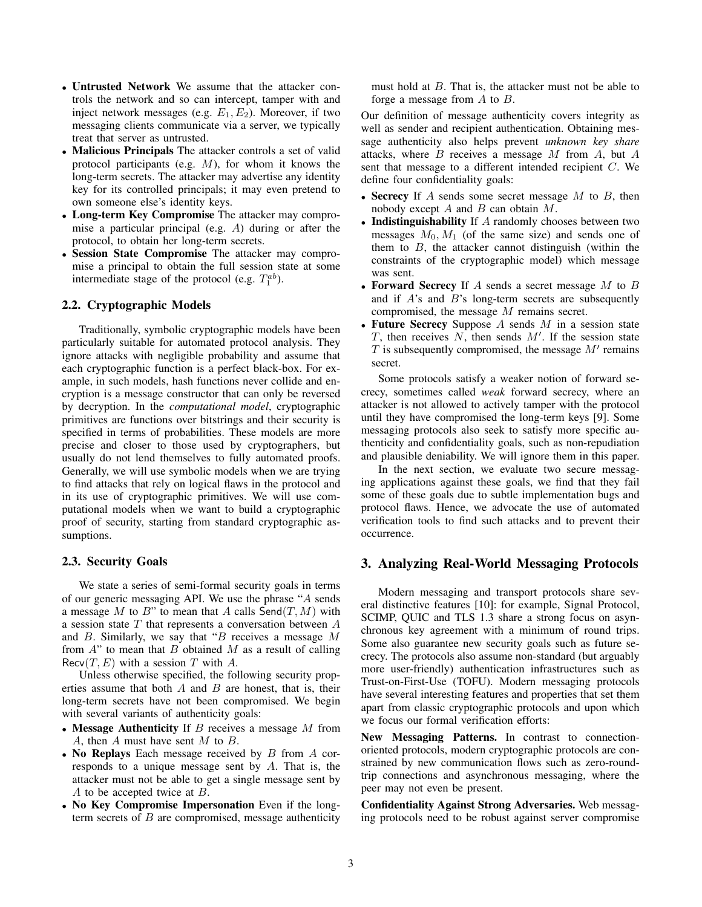- Untrusted Network We assume that the attacker controls the network and so can intercept, tamper with and inject network messages (e.g.  $E_1, E_2$ ). Moreover, if two messaging clients communicate via a server, we typically treat that server as untrusted.
- Malicious Principals The attacker controls a set of valid protocol participants (e.g.  $M$ ), for whom it knows the long-term secrets. The attacker may advertise any identity key for its controlled principals; it may even pretend to own someone else's identity keys.
- Long-term Key Compromise The attacker may compromise a particular principal (e.g. A) during or after the protocol, to obtain her long-term secrets.
- Session State Compromise The attacker may compromise a principal to obtain the full session state at some intermediate stage of the protocol (e.g.  $T_1^{ab}$ ).

#### 2.2. Cryptographic Models

Traditionally, symbolic cryptographic models have been particularly suitable for automated protocol analysis. They ignore attacks with negligible probability and assume that each cryptographic function is a perfect black-box. For example, in such models, hash functions never collide and encryption is a message constructor that can only be reversed by decryption. In the *computational model*, cryptographic primitives are functions over bitstrings and their security is specified in terms of probabilities. These models are more precise and closer to those used by cryptographers, but usually do not lend themselves to fully automated proofs. Generally, we will use symbolic models when we are trying to find attacks that rely on logical flaws in the protocol and in its use of cryptographic primitives. We will use computational models when we want to build a cryptographic proof of security, starting from standard cryptographic assumptions.

#### 2.3. Security Goals

We state a series of semi-formal security goals in terms of our generic messaging API. We use the phrase "A sends a message M to B" to mean that A calls  $Send(T, M)$  with a session state  $T$  that represents a conversation between  $A$ and  $B$ . Similarly, we say that " $B$  receives a message  $M$ from  $A$ " to mean that  $B$  obtained  $M$  as a result of calling Recv $(T, E)$  with a session T with A.

Unless otherwise specified, the following security properties assume that both  $A$  and  $B$  are honest, that is, their long-term secrets have not been compromised. We begin with several variants of authenticity goals:

- Message Authenticity If  $B$  receives a message  $M$  from A, then A must have sent M to B.
- No Replays Each message received by  $B$  from  $A$  corresponds to a unique message sent by  $A$ . That is, the attacker must not be able to get a single message sent by A to be accepted twice at B.
- No Key Compromise Impersonation Even if the longterm secrets of  $B$  are compromised, message authenticity

must hold at  $B$ . That is, the attacker must not be able to forge a message from A to B.

Our definition of message authenticity covers integrity as well as sender and recipient authentication. Obtaining message authenticity also helps prevent *unknown key share* attacks, where  $B$  receives a message  $M$  from  $A$ , but  $A$ sent that message to a different intended recipient C. We define four confidentiality goals:

- Secrecy If  $A$  sends some secret message  $M$  to  $B$ , then nobody except  $A$  and  $B$  can obtain  $M$ .
- Indistinguishability If A randomly chooses between two messages  $M_0, M_1$  (of the same size) and sends one of them to  $B$ , the attacker cannot distinguish (within the constraints of the cryptographic model) which message was sent.
- Forward Secrecy If  $A$  sends a secret message  $M$  to  $B$ and if A's and B's long-term secrets are subsequently compromised, the message M remains secret.
- Future Secrecy Suppose  $A$  sends  $M$  in a session state  $T$ , then receives  $N$ , then sends  $M'$ . If the session state  $T$  is subsequently compromised, the message  $M'$  remains secret.

Some protocols satisfy a weaker notion of forward secrecy, sometimes called *weak* forward secrecy, where an attacker is not allowed to actively tamper with the protocol until they have compromised the long-term keys [9]. Some messaging protocols also seek to satisfy more specific authenticity and confidentiality goals, such as non-repudiation and plausible deniability. We will ignore them in this paper.

In the next section, we evaluate two secure messaging applications against these goals, we find that they fail some of these goals due to subtle implementation bugs and protocol flaws. Hence, we advocate the use of automated verification tools to find such attacks and to prevent their occurrence.

## 3. Analyzing Real-World Messaging Protocols

Modern messaging and transport protocols share several distinctive features [10]: for example, Signal Protocol, SCIMP, QUIC and TLS 1.3 share a strong focus on asynchronous key agreement with a minimum of round trips. Some also guarantee new security goals such as future secrecy. The protocols also assume non-standard (but arguably more user-friendly) authentication infrastructures such as Trust-on-First-Use (TOFU). Modern messaging protocols have several interesting features and properties that set them apart from classic cryptographic protocols and upon which we focus our formal verification efforts:

New Messaging Patterns. In contrast to connectionoriented protocols, modern cryptographic protocols are constrained by new communication flows such as zero-roundtrip connections and asynchronous messaging, where the peer may not even be present.

Confidentiality Against Strong Adversaries. Web messaging protocols need to be robust against server compromise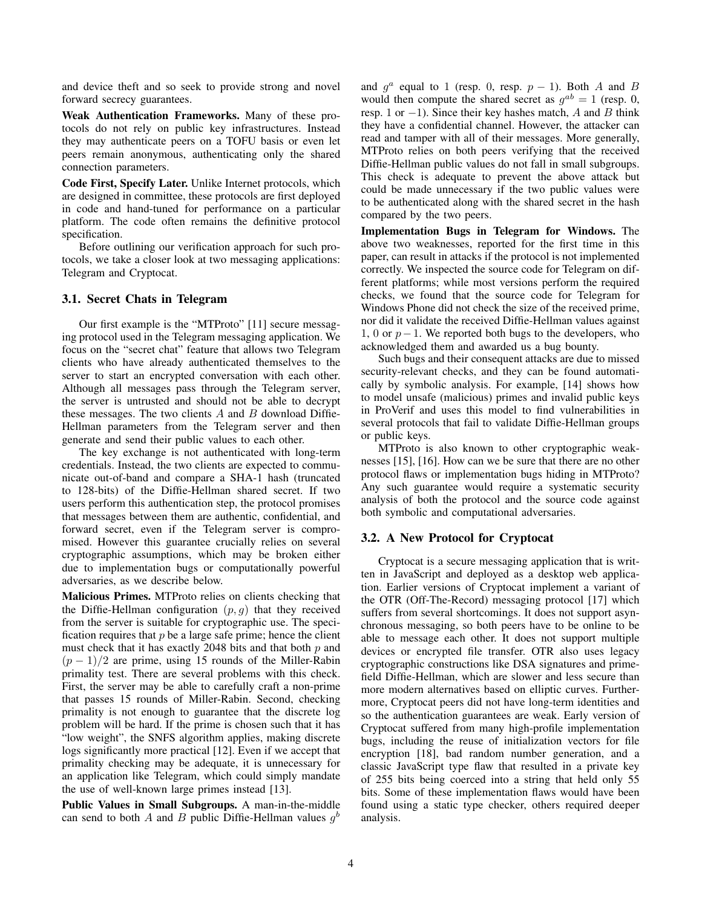and device theft and so seek to provide strong and novel forward secrecy guarantees.

Weak Authentication Frameworks. Many of these protocols do not rely on public key infrastructures. Instead they may authenticate peers on a TOFU basis or even let peers remain anonymous, authenticating only the shared connection parameters.

Code First, Specify Later. Unlike Internet protocols, which are designed in committee, these protocols are first deployed in code and hand-tuned for performance on a particular platform. The code often remains the definitive protocol specification.

Before outlining our verification approach for such protocols, we take a closer look at two messaging applications: Telegram and Cryptocat.

#### 3.1. Secret Chats in Telegram

Our first example is the "MTProto" [11] secure messaging protocol used in the Telegram messaging application. We focus on the "secret chat" feature that allows two Telegram clients who have already authenticated themselves to the server to start an encrypted conversation with each other. Although all messages pass through the Telegram server, the server is untrusted and should not be able to decrypt these messages. The two clients  $A$  and  $B$  download Diffie-Hellman parameters from the Telegram server and then generate and send their public values to each other.

The key exchange is not authenticated with long-term credentials. Instead, the two clients are expected to communicate out-of-band and compare a SHA-1 hash (truncated to 128-bits) of the Diffie-Hellman shared secret. If two users perform this authentication step, the protocol promises that messages between them are authentic, confidential, and forward secret, even if the Telegram server is compromised. However this guarantee crucially relies on several cryptographic assumptions, which may be broken either due to implementation bugs or computationally powerful adversaries, as we describe below.

Malicious Primes. MTProto relies on clients checking that the Diffie-Hellman configuration  $(p, g)$  that they received from the server is suitable for cryptographic use. The specification requires that  $p$  be a large safe prime; hence the client must check that it has exactly 2048 bits and that both  $p$  and  $(p-1)/2$  are prime, using 15 rounds of the Miller-Rabin primality test. There are several problems with this check. First, the server may be able to carefully craft a non-prime that passes 15 rounds of Miller-Rabin. Second, checking primality is not enough to guarantee that the discrete log problem will be hard. If the prime is chosen such that it has "low weight", the SNFS algorithm applies, making discrete logs significantly more practical [12]. Even if we accept that primality checking may be adequate, it is unnecessary for an application like Telegram, which could simply mandate the use of well-known large primes instead [13].

Public Values in Small Subgroups. A man-in-the-middle can send to both A and B public Diffie-Hellman values  $g<sup>b</sup>$ 

and  $g^a$  equal to 1 (resp. 0, resp.  $p - 1$ ). Both A and B would then compute the shared secret as  $g^{ab} = 1$  (resp. 0, resp. 1 or  $-1$ ). Since their key hashes match, A and B think they have a confidential channel. However, the attacker can read and tamper with all of their messages. More generally, MTProto relies on both peers verifying that the received Diffie-Hellman public values do not fall in small subgroups. This check is adequate to prevent the above attack but could be made unnecessary if the two public values were to be authenticated along with the shared secret in the hash compared by the two peers.

Implementation Bugs in Telegram for Windows. The above two weaknesses, reported for the first time in this paper, can result in attacks if the protocol is not implemented correctly. We inspected the source code for Telegram on different platforms; while most versions perform the required checks, we found that the source code for Telegram for Windows Phone did not check the size of the received prime, nor did it validate the received Diffie-Hellman values against 1, 0 or  $p-1$ . We reported both bugs to the developers, who acknowledged them and awarded us a bug bounty.

Such bugs and their consequent attacks are due to missed security-relevant checks, and they can be found automatically by symbolic analysis. For example, [14] shows how to model unsafe (malicious) primes and invalid public keys in ProVerif and uses this model to find vulnerabilities in several protocols that fail to validate Diffie-Hellman groups or public keys.

MTProto is also known to other cryptographic weaknesses [15], [16]. How can we be sure that there are no other protocol flaws or implementation bugs hiding in MTProto? Any such guarantee would require a systematic security analysis of both the protocol and the source code against both symbolic and computational adversaries.

#### 3.2. A New Protocol for Cryptocat

Cryptocat is a secure messaging application that is written in JavaScript and deployed as a desktop web application. Earlier versions of Cryptocat implement a variant of the OTR (Off-The-Record) messaging protocol [17] which suffers from several shortcomings. It does not support asynchronous messaging, so both peers have to be online to be able to message each other. It does not support multiple devices or encrypted file transfer. OTR also uses legacy cryptographic constructions like DSA signatures and primefield Diffie-Hellman, which are slower and less secure than more modern alternatives based on elliptic curves. Furthermore, Cryptocat peers did not have long-term identities and so the authentication guarantees are weak. Early version of Cryptocat suffered from many high-profile implementation bugs, including the reuse of initialization vectors for file encryption [18], bad random number generation, and a classic JavaScript type flaw that resulted in a private key of 255 bits being coerced into a string that held only 55 bits. Some of these implementation flaws would have been found using a static type checker, others required deeper analysis.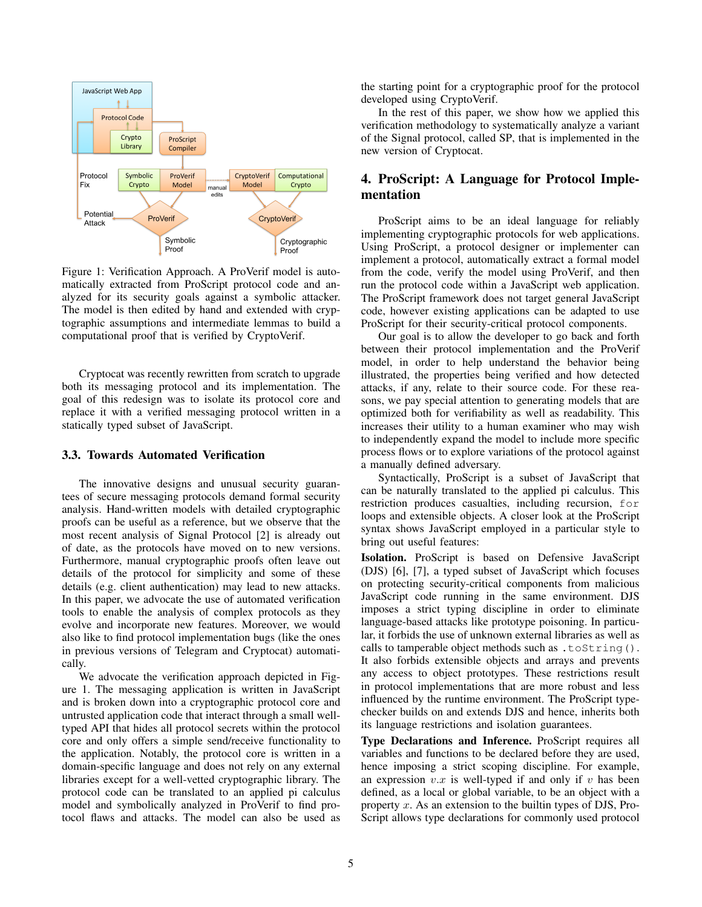

Figure 1: Verification Approach. A ProVerif model is automatically extracted from ProScript protocol code and analyzed for its security goals against a symbolic attacker. The model is then edited by hand and extended with cryptographic assumptions and intermediate lemmas to build a computational proof that is verified by CryptoVerif.

Cryptocat was recently rewritten from scratch to upgrade both its messaging protocol and its implementation. The goal of this redesign was to isolate its protocol core and replace it with a verified messaging protocol written in a statically typed subset of JavaScript.

#### 3.3. Towards Automated Verification

The innovative designs and unusual security guarantees of secure messaging protocols demand formal security analysis. Hand-written models with detailed cryptographic proofs can be useful as a reference, but we observe that the most recent analysis of Signal Protocol [2] is already out of date, as the protocols have moved on to new versions. Furthermore, manual cryptographic proofs often leave out details of the protocol for simplicity and some of these details (e.g. client authentication) may lead to new attacks. In this paper, we advocate the use of automated verification tools to enable the analysis of complex protocols as they evolve and incorporate new features. Moreover, we would also like to find protocol implementation bugs (like the ones in previous versions of Telegram and Cryptocat) automatically.

We advocate the verification approach depicted in Figure 1. The messaging application is written in JavaScript and is broken down into a cryptographic protocol core and untrusted application code that interact through a small welltyped API that hides all protocol secrets within the protocol core and only offers a simple send/receive functionality to the application. Notably, the protocol core is written in a domain-specific language and does not rely on any external libraries except for a well-vetted cryptographic library. The protocol code can be translated to an applied pi calculus model and symbolically analyzed in ProVerif to find protocol flaws and attacks. The model can also be used as the starting point for a cryptographic proof for the protocol developed using CryptoVerif.

In the rest of this paper, we show how we applied this verification methodology to systematically analyze a variant of the Signal protocol, called SP, that is implemented in the new version of Cryptocat.

## 4. ProScript: A Language for Protocol Implementation

ProScript aims to be an ideal language for reliably implementing cryptographic protocols for web applications. Using ProScript, a protocol designer or implementer can implement a protocol, automatically extract a formal model from the code, verify the model using ProVerif, and then run the protocol code within a JavaScript web application. The ProScript framework does not target general JavaScript code, however existing applications can be adapted to use ProScript for their security-critical protocol components.

Our goal is to allow the developer to go back and forth between their protocol implementation and the ProVerif model, in order to help understand the behavior being illustrated, the properties being verified and how detected attacks, if any, relate to their source code. For these reasons, we pay special attention to generating models that are optimized both for verifiability as well as readability. This increases their utility to a human examiner who may wish to independently expand the model to include more specific process flows or to explore variations of the protocol against a manually defined adversary.

Syntactically, ProScript is a subset of JavaScript that can be naturally translated to the applied pi calculus. This restriction produces casualties, including recursion, for loops and extensible objects. A closer look at the ProScript syntax shows JavaScript employed in a particular style to bring out useful features:

Isolation. ProScript is based on Defensive JavaScript (DJS) [6], [7], a typed subset of JavaScript which focuses on protecting security-critical components from malicious JavaScript code running in the same environment. DJS imposes a strict typing discipline in order to eliminate language-based attacks like prototype poisoning. In particular, it forbids the use of unknown external libraries as well as calls to tamperable object methods such as . toString(). It also forbids extensible objects and arrays and prevents any access to object prototypes. These restrictions result in protocol implementations that are more robust and less influenced by the runtime environment. The ProScript typechecker builds on and extends DJS and hence, inherits both its language restrictions and isolation guarantees.

Type Declarations and Inference. ProScript requires all variables and functions to be declared before they are used, hence imposing a strict scoping discipline. For example, an expression  $v.x$  is well-typed if and only if v has been defined, as a local or global variable, to be an object with a property x. As an extension to the builtin types of DJS, Pro-Script allows type declarations for commonly used protocol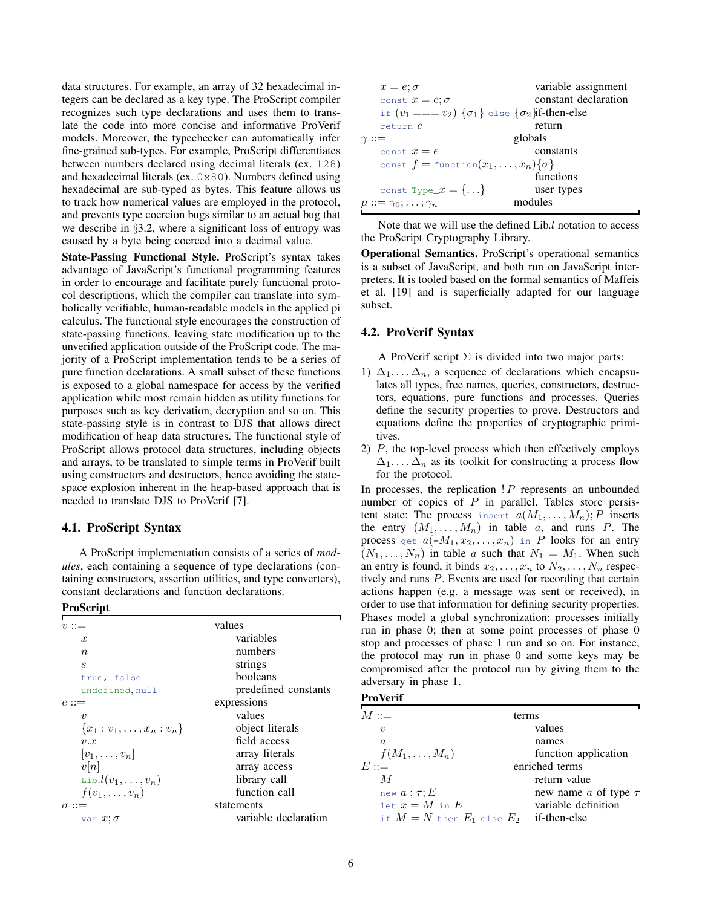data structures. For example, an array of 32 hexadecimal integers can be declared as a key type. The ProScript compiler recognizes such type declarations and uses them to translate the code into more concise and informative ProVerif models. Moreover, the typechecker can automatically infer fine-grained sub-types. For example, ProScript differentiates between numbers declared using decimal literals (ex. 128) and hexadecimal literals (ex. 0x80). Numbers defined using hexadecimal are sub-typed as bytes. This feature allows us to track how numerical values are employed in the protocol, and prevents type coercion bugs similar to an actual bug that we describe in §3.2, where a significant loss of entropy was caused by a byte being coerced into a decimal value.

State-Passing Functional Style. ProScript's syntax takes advantage of JavaScript's functional programming features in order to encourage and facilitate purely functional protocol descriptions, which the compiler can translate into symbolically verifiable, human-readable models in the applied pi calculus. The functional style encourages the construction of state-passing functions, leaving state modification up to the unverified application outside of the ProScript code. The majority of a ProScript implementation tends to be a series of pure function declarations. A small subset of these functions is exposed to a global namespace for access by the verified application while most remain hidden as utility functions for purposes such as key derivation, decryption and so on. This state-passing style is in contrast to DJS that allows direct modification of heap data structures. The functional style of ProScript allows protocol data structures, including objects and arrays, to be translated to simple terms in ProVerif built using constructors and destructors, hence avoiding the statespace explosion inherent in the heap-based approach that is needed to translate DJS to ProVerif [7].

#### 4.1. ProScript Syntax

A ProScript implementation consists of a series of *modules*, each containing a sequence of type declarations (containing constructors, assertion utilities, and type converters), constant declarations and function declarations.

#### ProScript

| $v ::=$                          | values               |
|----------------------------------|----------------------|
| $\boldsymbol{x}$                 | variables            |
| $\it{n}$                         | numbers              |
| $\mathcal{S}_{\mathcal{S}}$      | strings              |
| true, false                      | booleans             |
| undefined, null                  | predefined constants |
| $e ::=$                          | expressions          |
| $\boldsymbol{\eta}$              | values               |
| ${x_1 : v_1, \ldots, x_n : v_n}$ | object literals      |
| v.x                              | field access         |
| $[v_1,\ldots,v_n]$               | array literals       |
| v[n]                             | array access         |
| Lib. $l(v_1,\ldots,v_n)$         | library call         |
| $f(v_1,\ldots,v_n)$              | function call        |
| $\sigma ::=$                     | statements           |
| var $x;\sigma$                   | variable declaration |
|                                  |                      |

| $x=e;\sigma$                                                      | variable assignment  |
|-------------------------------------------------------------------|----------------------|
| const $x=e;\sigma$                                                | constant declaration |
| if $(v_1 == v_2)$ $\{\sigma_1\}$ else $\{\sigma_2\}$ if-then-else |                      |
| return $e$                                                        | return               |
| $\gamma ::=$                                                      | globals              |
| const $x = e$                                                     | constants            |
| const $f =$ function $(x_1, \ldots, x_n)$ $\{\sigma\}$            |                      |
|                                                                   | functions            |
| const Type_ $x = \{ \ldots \}$                                    | user types           |
| $\mu ::= \gamma_0; \ldots; \gamma_n$                              | modules              |

Note that we will use the defined Lib.l notation to access the ProScript Cryptography Library.

Operational Semantics. ProScript's operational semantics is a subset of JavaScript, and both run on JavaScript interpreters. It is tooled based on the formal semantics of Maffeis et al. [19] and is superficially adapted for our language subset.

#### 4.2. ProVerif Syntax

A ProVerif script  $\Sigma$  is divided into two major parts:

- 1)  $\Delta_1$ ...  $\Delta_n$ , a sequence of declarations which encapsulates all types, free names, queries, constructors, destructors, equations, pure functions and processes. Queries define the security properties to prove. Destructors and equations define the properties of cryptographic primitives.
- 2) P, the top-level process which then effectively employs  $\Delta_1$ ...  $\Delta_n$  as its toolkit for constructing a process flow for the protocol.

In processes, the replication  $P$  represents an unbounded number of copies of  $P$  in parallel. Tables store persistent state: The process insert  $a(M_1, \ldots, M_n); P$  inserts the entry  $(M_1, \ldots, M_n)$  in table a, and runs P. The process get  $a(-M_1, x_2, \ldots, x_n)$  in P looks for an entry  $(N_1, \ldots, N_n)$  in table a such that  $N_1 = M_1$ . When such an entry is found, it binds  $x_2, \ldots, x_n$  to  $N_2, \ldots, N_n$  respectively and runs P. Events are used for recording that certain actions happen (e.g. a message was sent or received), in order to use that information for defining security properties. Phases model a global synchronization: processes initially run in phase 0; then at some point processes of phase 0 stop and processes of phase 1 run and so on. For instance, the protocol may run in phase 0 and some keys may be compromised after the protocol run by giving them to the adversary in phase 1.

| $M ::=$             | terms                                         |
|---------------------|-----------------------------------------------|
| $\boldsymbol{v}$    | values                                        |
| $\alpha$            | names                                         |
| $f(M_1,\ldots,M_n)$ | function application                          |
| $E ::=$             | enriched terms                                |
| M                   | return value                                  |
| new $a:\tau;E$      | new name <i>a</i> of type $\tau$              |
| let $x = M$ in E    | variable definition                           |
|                     | if $M = N$ then $E_1$ else $E_2$ if-then-else |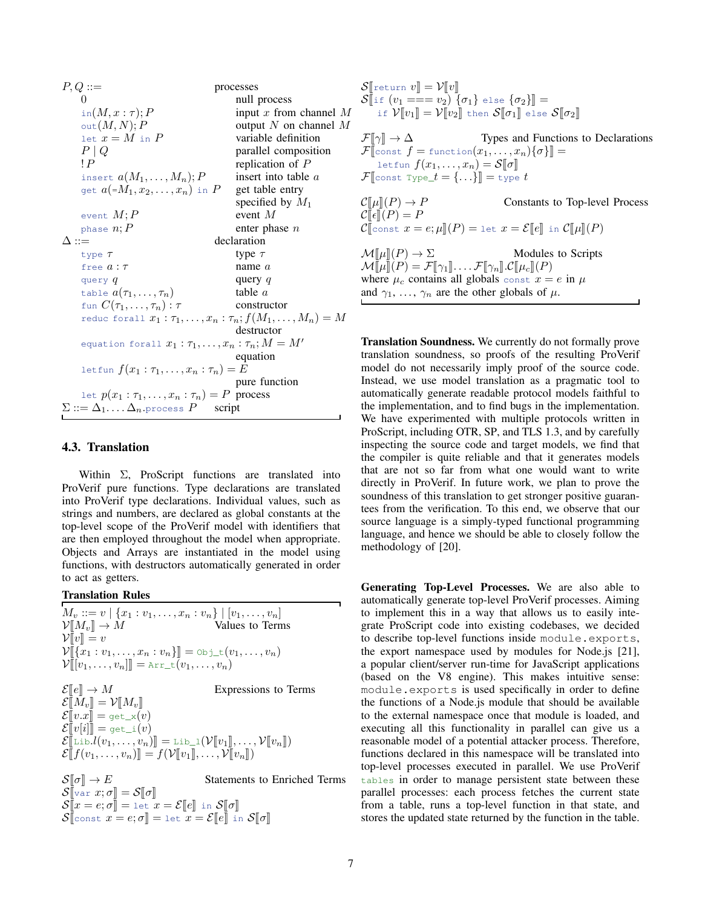|              | $P,Q ::=$                                                                     | processes                 |
|--------------|-------------------------------------------------------------------------------|---------------------------|
|              | 0                                                                             | null process              |
|              | $\text{in}(M, x : \tau); P$                                                   | input x from channel $M$  |
|              | $\text{out}(M,N); P$                                                          | output $N$ on channel $M$ |
|              | let $x = M$ in $P$                                                            | variable definition       |
|              | $P \mid Q$                                                                    | parallel composition      |
|              | ! P                                                                           | replication of $P$        |
|              | insert $a(M_1,\ldots,M_n);P$                                                  | insert into table $a$     |
|              | get $a(=M_1, x_2, \ldots, x_n)$ in $P$                                        | get table entry           |
|              |                                                                               | specified by $M_1$        |
|              | event $M;P$                                                                   | event $M$                 |
|              | phase $n; P$                                                                  | enter phase $n$           |
| $\Delta ::=$ |                                                                               | declaration               |
|              | type $\tau$                                                                   | type $\tau$               |
|              | free $a : \tau$                                                               | name $a$                  |
|              | query $q$                                                                     | query $q$                 |
|              | table $a(\tau_1,\ldots,\tau_n)$                                               | table $a$                 |
|              | fun $C(\tau_1,\ldots,\tau_n):\tau$                                            | constructor               |
|              | reduc forall $x_1 : \tau_1, \ldots, x_n : \tau_n$ ; $f(M_1, \ldots, M_n) = M$ |                           |
|              |                                                                               | destructor                |
|              | equation forall $x_1:\tau_1,\ldots,x_n:\tau_n;M=M'$                           |                           |
|              |                                                                               | equation                  |
|              | letfun $f(x_1 : \tau_1, \ldots, x_n : \tau_n) = E$                            |                           |
|              |                                                                               | pure function             |
|              | Let $p(x_1 : \tau_1, \ldots, x_n : \tau_n) = P$ process                       |                           |
|              | $\Sigma ::= \Delta_1 \dots \Delta_n$ process $P$ script                       |                           |
|              |                                                                               |                           |

### 4.3. Translation

Within  $\Sigma$ . ProScript functions are translated into ProVerif pure functions. Type declarations are translated into ProVerif type declarations. Individual values, such as strings and numbers, are declared as global constants at the top-level scope of the ProVerif model with identifiers that are then employed throughout the model when appropriate. Objects and Arrays are instantiated in the model using functions, with destructors automatically generated in order to act as getters.

#### Translation Rules

 $M_v ::= v \mid \{x_1 : v_1, \ldots, x_n : v_n\} \mid [v_1, \ldots, v_n]$  $\mathcal{V}[\![M_v]\!] \to M$  Values to Terms<br>  $\mathcal{V}[\![u]\!] = v$  $\mathcal{V}[\![v]\!]=v$  $\mathcal{V}[\![\{x_1 : v_1, \ldots, x_n : v_n\}]\!] = \text{Obj\_t}(v_1, \ldots, v_n)$  $\mathcal{V}[\![\tilde{v}_1,\ldots,v_n]\!] = \text{Arr}_{\mathcal{I}}(v_1,\ldots,v_n)$  $\mathcal{E}[\![e]\!] \to M$  Expressions to Terms

 $\mathcal{E}[\![\tilde{M}_v]\!]=\mathcal{V}[\![M_v]\!]$  $\mathcal{E}[\hspace{-1.5pt}[ v.x]\hspace{-1.5pt}] = \text{\text{get}}\,x(v)$  $\mathcal{E}[v[i]] = \text{get}_i(v)$  $\mathcal{E}[\mathbf{L}_{\text{lib}}](v_1, \ldots, v_n)] = \text{Lib\_l}(\mathcal{V}[\![v_1]\!], \ldots, \mathcal{V}[\![v_n]\!])$  $\mathcal{E}[[f(v_1,\ldots,v_n)]] = f(\mathcal{V}[[v_1]],\ldots,\mathcal{V}[[v_n]])$ 

 $\mathcal{S}[\![\sigma]\!] \to E$  Statements to Enriched Terms  $\mathcal{S}[\![\mathrm{var}~x;\sigma]\!] = \mathcal{S}[\![\sigma]\!]$  $\mathcal{S}\llbracket x = e; \sigma \rrbracket = \det x = \mathcal{E}\llbracket e \rrbracket$  in  $\mathcal{S}\llbracket \sigma \rrbracket$  $\mathcal{S}$ [const  $x = e; \sigma$ ] = let  $x = \mathcal{E}$ [ $e$ ] in  $\mathcal{S}$ [ $\sigma$ ]

$$
\mathcal{S}[\text{return } v] = \mathcal{V}[v]
$$
\n
$$
\mathcal{S}[if (v_1 == v_2) \{\sigma_1\} \text{ else } \{\sigma_2\}] =
$$
\n
$$
if \mathcal{V}[v_1] = \mathcal{V}[v_2] \text{ then } \mathcal{S}[\sigma_1] \text{ else } \mathcal{S}[\sigma_2]
$$

and  $\gamma_1, \ldots, \gamma_n$  are the other globals of  $\mu$ .

 $\mathcal{F}[\![\gamma]\!] \rightarrow \Delta$  Types and Functions to Declarations<br> $\mathcal{F}[\![\gamma]\!] = \mathcal{F}[\![\gamma]\!] =$  $\mathcal{F}$ [const  $f =$  function $(x_1, \ldots, x_n)\{\sigma\}$ ] = let fun  $f(x_1, \ldots, x_n) = \mathcal{S}[\![\sigma]\!]$  $\mathcal{F}$ | const Type\_ $t = \{ \ldots \}$ | = type  $t$  $\mathcal{C}[\![\mu]\!](P) \to P$  Constants to Top-level Process  $\mathcal{C} \overline{\lbrack} \epsilon \overline{\rbrack}(P) = P$  $\mathcal{C}$ ||const  $x = e; \mu \rrbracket(P) = \text{let } x = \mathcal{E} \llbracket e \rrbracket$  in  $\mathcal{C} \llbracket \mu \rrbracket(P)$  $M[\![\mu]\!](P) \to \Sigma$  Modules to Scripts<br> $M[\![\mu]\!](P) = \mathcal{F}[\![\infty]\!]$   $\mathcal{F}[\![\infty]\!]$   $(\mathcal{F}[\![\mu]\!](P)$  $\mathcal{M}[\![\mu]\!](P) = \mathcal{F}[\![\gamma_1]\!]\ldots \mathcal{F}[\![\gamma_n]\!]\ldots$ <br>where  $\mu$  contains all globals const  $x =$ where  $\mu_c$  contains all globals const  $x = e$  in  $\mu$ 

Translation Soundness. We currently do not formally prove translation soundness, so proofs of the resulting ProVerif model do not necessarily imply proof of the source code. Instead, we use model translation as a pragmatic tool to automatically generate readable protocol models faithful to the implementation, and to find bugs in the implementation. We have experimented with multiple protocols written in ProScript, including OTR, SP, and TLS 1.3, and by carefully inspecting the source code and target models, we find that the compiler is quite reliable and that it generates models that are not so far from what one would want to write directly in ProVerif. In future work, we plan to prove the soundness of this translation to get stronger positive guarantees from the verification. To this end, we observe that our source language is a simply-typed functional programming language, and hence we should be able to closely follow the methodology of [20].

Generating Top-Level Processes. We are also able to automatically generate top-level ProVerif processes. Aiming to implement this in a way that allows us to easily integrate ProScript code into existing codebases, we decided to describe top-level functions inside module.exports, the export namespace used by modules for Node.js [21], a popular client/server run-time for JavaScript applications (based on the V8 engine). This makes intuitive sense: module.exports is used specifically in order to define the functions of a Node.js module that should be available to the external namespace once that module is loaded, and executing all this functionality in parallel can give us a reasonable model of a potential attacker process. Therefore, functions declared in this namespace will be translated into top-level processes executed in parallel. We use ProVerif tables in order to manage persistent state between these parallel processes: each process fetches the current state from a table, runs a top-level function in that state, and stores the updated state returned by the function in the table.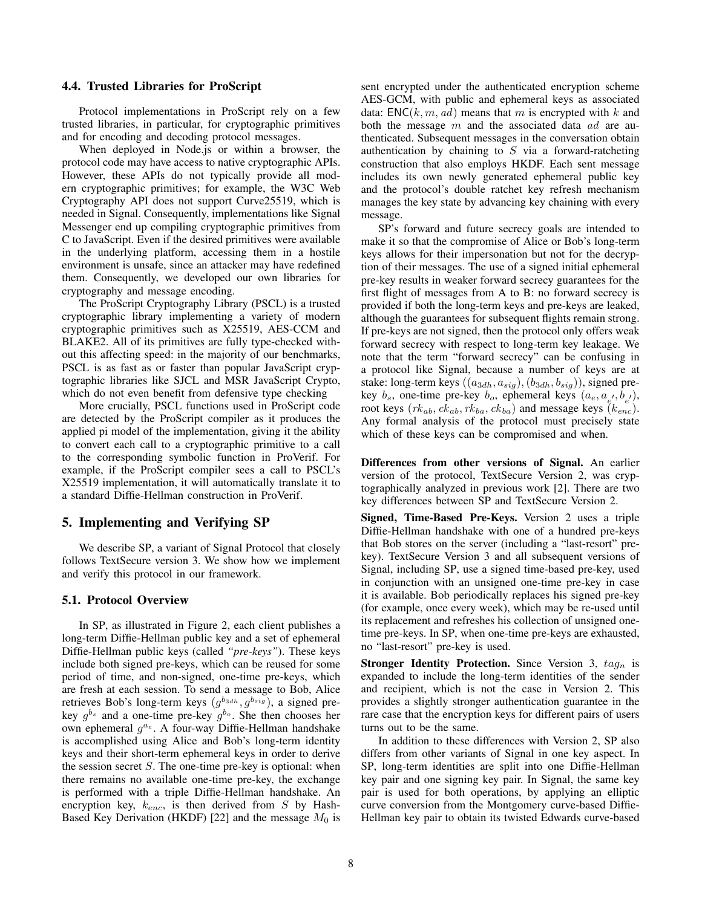#### 4.4. Trusted Libraries for ProScript

Protocol implementations in ProScript rely on a few trusted libraries, in particular, for cryptographic primitives and for encoding and decoding protocol messages.

When deployed in Node.js or within a browser, the protocol code may have access to native cryptographic APIs. However, these APIs do not typically provide all modern cryptographic primitives; for example, the W3C Web Cryptography API does not support Curve25519, which is needed in Signal. Consequently, implementations like Signal Messenger end up compiling cryptographic primitives from C to JavaScript. Even if the desired primitives were available in the underlying platform, accessing them in a hostile environment is unsafe, since an attacker may have redefined them. Consequently, we developed our own libraries for cryptography and message encoding.

The ProScript Cryptography Library (PSCL) is a trusted cryptographic library implementing a variety of modern cryptographic primitives such as X25519, AES-CCM and BLAKE2. All of its primitives are fully type-checked without this affecting speed: in the majority of our benchmarks, PSCL is as fast as or faster than popular JavaScript cryptographic libraries like SJCL and MSR JavaScript Crypto, which do not even benefit from defensive type checking

More crucially, PSCL functions used in ProScript code are detected by the ProScript compiler as it produces the applied pi model of the implementation, giving it the ability to convert each call to a cryptographic primitive to a call to the corresponding symbolic function in ProVerif. For example, if the ProScript compiler sees a call to PSCL's X25519 implementation, it will automatically translate it to a standard Diffie-Hellman construction in ProVerif.

### 5. Implementing and Verifying SP

We describe SP, a variant of Signal Protocol that closely follows TextSecure version 3. We show how we implement and verify this protocol in our framework.

#### 5.1. Protocol Overview

In SP, as illustrated in Figure 2, each client publishes a long-term Diffie-Hellman public key and a set of ephemeral Diffie-Hellman public keys (called *"pre-keys"*). These keys include both signed pre-keys, which can be reused for some period of time, and non-signed, one-time pre-keys, which are fresh at each session. To send a message to Bob, Alice retrieves Bob's long-term keys  $(g^{b_{3dh}}, g^{b_{sig}})$ , a signed prekey  $g^{b_s}$  and a one-time pre-key  $g^{b_o}$ . She then chooses her own ephemeral  $g^{a_e}$ . A four-way Diffie-Hellman handshake is accomplished using Alice and Bob's long-term identity keys and their short-term ephemeral keys in order to derive the session secret  $S$ . The one-time pre-key is optional: when there remains no available one-time pre-key, the exchange is performed with a triple Diffie-Hellman handshake. An encryption key,  $k_{enc}$ , is then derived from  $S$  by Hash-Based Key Derivation (HKDF) [22] and the message  $M_0$  is sent encrypted under the authenticated encryption scheme AES-GCM, with public and ephemeral keys as associated data:  $ENC(k, m, ad)$  means that m is encrypted with k and both the message  $m$  and the associated data  $ad$  are authenticated. Subsequent messages in the conversation obtain authentication by chaining to  $S$  via a forward-ratcheting construction that also employs HKDF. Each sent message includes its own newly generated ephemeral public key and the protocol's double ratchet key refresh mechanism manages the key state by advancing key chaining with every message.

SP's forward and future secrecy goals are intended to make it so that the compromise of Alice or Bob's long-term keys allows for their impersonation but not for the decryption of their messages. The use of a signed initial ephemeral pre-key results in weaker forward secrecy guarantees for the first flight of messages from A to B: no forward secrecy is provided if both the long-term keys and pre-keys are leaked, although the guarantees for subsequent flights remain strong. If pre-keys are not signed, then the protocol only offers weak forward secrecy with respect to long-term key leakage. We note that the term "forward secrecy" can be confusing in a protocol like Signal, because a number of keys are at stake: long-term keys  $((a_{3dh}, a_{sig}), (b_{3dh}, b_{sig}))$ , signed prekey  $b_s$ , one-time pre-key  $b_o$ , ephemeral keys  $(a_e, a_{e'}, b_{e'}),$ root keys ( $rk_{ab}$ ,  $ck_{ab}$ ,  $rk_{ba}$ ,  $ck_{ba}$ ) and message keys ( $k_{enc}$ ). Any formal analysis of the protocol must precisely state which of these keys can be compromised and when.

Differences from other versions of Signal. An earlier version of the protocol, TextSecure Version 2, was cryptographically analyzed in previous work [2]. There are two key differences between SP and TextSecure Version 2.

Signed, Time-Based Pre-Keys. Version 2 uses a triple Diffie-Hellman handshake with one of a hundred pre-keys that Bob stores on the server (including a "last-resort" prekey). TextSecure Version 3 and all subsequent versions of Signal, including SP, use a signed time-based pre-key, used in conjunction with an unsigned one-time pre-key in case it is available. Bob periodically replaces his signed pre-key (for example, once every week), which may be re-used until its replacement and refreshes his collection of unsigned onetime pre-keys. In SP, when one-time pre-keys are exhausted, no "last-resort" pre-key is used.

**Stronger Identity Protection.** Since Version 3,  $tag_n$  is expanded to include the long-term identities of the sender and recipient, which is not the case in Version 2. This provides a slightly stronger authentication guarantee in the rare case that the encryption keys for different pairs of users turns out to be the same.

In addition to these differences with Version 2, SP also differs from other variants of Signal in one key aspect. In SP, long-term identities are split into one Diffie-Hellman key pair and one signing key pair. In Signal, the same key pair is used for both operations, by applying an elliptic curve conversion from the Montgomery curve-based Diffie-Hellman key pair to obtain its twisted Edwards curve-based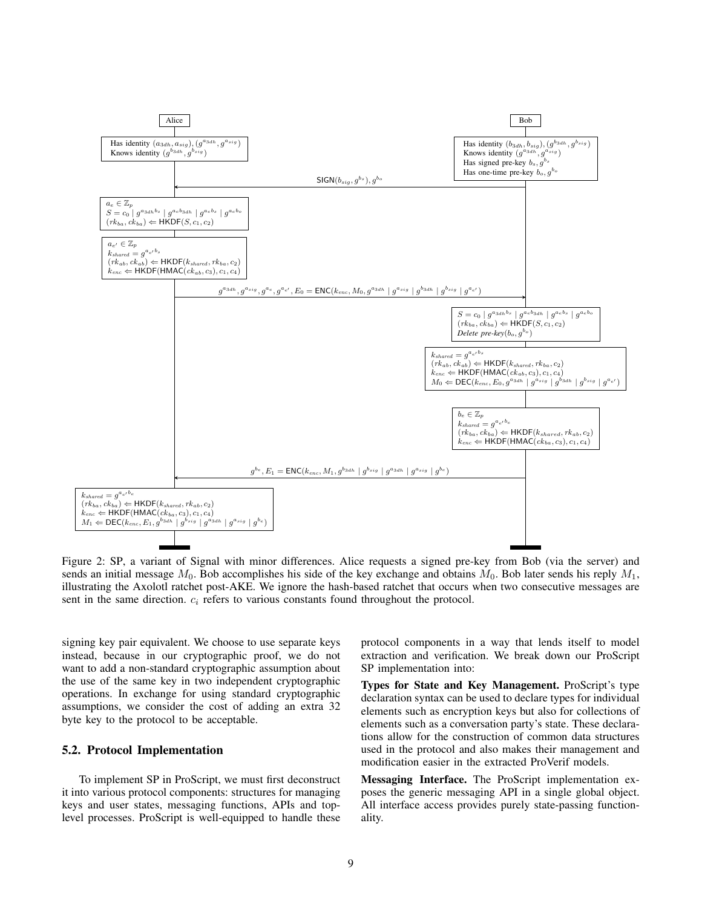

Figure 2: SP, a variant of Signal with minor differences. Alice requests a signed pre-key from Bob (via the server) and sends an initial message  $M_0$ . Bob accomplishes his side of the key exchange and obtains  $M_0$ . Bob later sends his reply  $M_1$ , illustrating the Axolotl ratchet post-AKE. We ignore the hash-based ratchet that occurs when two consecutive messages are sent in the same direction.  $c_i$  refers to various constants found throughout the protocol.

signing key pair equivalent. We choose to use separate keys instead, because in our cryptographic proof, we do not want to add a non-standard cryptographic assumption about the use of the same key in two independent cryptographic operations. In exchange for using standard cryptographic assumptions, we consider the cost of adding an extra 32 byte key to the protocol to be acceptable.

### 5.2. Protocol Implementation

To implement SP in ProScript, we must first deconstruct it into various protocol components: structures for managing keys and user states, messaging functions, APIs and toplevel processes. ProScript is well-equipped to handle these protocol components in a way that lends itself to model extraction and verification. We break down our ProScript SP implementation into:

Types for State and Key Management. ProScript's type declaration syntax can be used to declare types for individual elements such as encryption keys but also for collections of elements such as a conversation party's state. These declarations allow for the construction of common data structures used in the protocol and also makes their management and modification easier in the extracted ProVerif models.

Messaging Interface. The ProScript implementation exposes the generic messaging API in a single global object. All interface access provides purely state-passing functionality.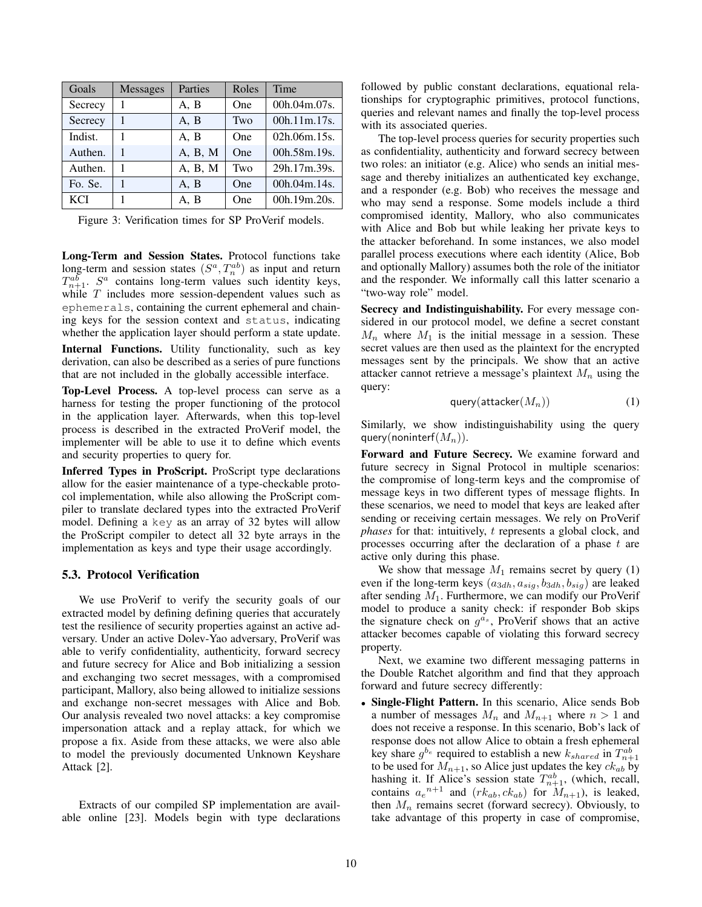| Goals      | <b>Messages</b> | Parties | Roles | Time         |
|------------|-----------------|---------|-------|--------------|
| Secrecy    |                 | A, B    | One   | 00h.04m.07s. |
| Secrecy    |                 | A, B    | Two   | 00h.11m.17s. |
| Indist.    |                 | A, B    | One   | 02h.06m.15s. |
| Authen.    |                 | A, B, M | One   | 00h.58m.19s. |
| Authen.    |                 | A, B, M | Two   | 29h.17m.39s. |
| Fo. Se.    |                 | A, B    | One   | 00h.04m.14s. |
| <b>KCI</b> |                 | A, B    | One   | 00h.19m.20s. |

Figure 3: Verification times for SP ProVerif models.

Long-Term and Session States. Protocol functions take long-term and session states  $(S^a, T^{ab}_n)$  as input and return  $T_{n+1}^{ab}$ .  $S^a$  contains long-term values such identity keys, while  $T$  includes more session-dependent values such as ephemerals, containing the current ephemeral and chaining keys for the session context and status, indicating whether the application layer should perform a state update.

Internal Functions. Utility functionality, such as key derivation, can also be described as a series of pure functions that are not included in the globally accessible interface.

Top-Level Process. A top-level process can serve as a harness for testing the proper functioning of the protocol in the application layer. Afterwards, when this top-level process is described in the extracted ProVerif model, the implementer will be able to use it to define which events and security properties to query for.

Inferred Types in ProScript. ProScript type declarations allow for the easier maintenance of a type-checkable protocol implementation, while also allowing the ProScript compiler to translate declared types into the extracted ProVerif model. Defining a key as an array of 32 bytes will allow the ProScript compiler to detect all 32 byte arrays in the implementation as keys and type their usage accordingly.

#### 5.3. Protocol Verification

We use ProVerif to verify the security goals of our extracted model by defining defining queries that accurately test the resilience of security properties against an active adversary. Under an active Dolev-Yao adversary, ProVerif was able to verify confidentiality, authenticity, forward secrecy and future secrecy for Alice and Bob initializing a session and exchanging two secret messages, with a compromised participant, Mallory, also being allowed to initialize sessions and exchange non-secret messages with Alice and Bob. Our analysis revealed two novel attacks: a key compromise impersonation attack and a replay attack, for which we propose a fix. Aside from these attacks, we were also able to model the previously documented Unknown Keyshare Attack [2].

Extracts of our compiled SP implementation are available online [23]. Models begin with type declarations followed by public constant declarations, equational relationships for cryptographic primitives, protocol functions, queries and relevant names and finally the top-level process with its associated queries.

The top-level process queries for security properties such as confidentiality, authenticity and forward secrecy between two roles: an initiator (e.g. Alice) who sends an initial message and thereby initializes an authenticated key exchange, and a responder (e.g. Bob) who receives the message and who may send a response. Some models include a third compromised identity, Mallory, who also communicates with Alice and Bob but while leaking her private keys to the attacker beforehand. In some instances, we also model parallel process executions where each identity (Alice, Bob and optionally Mallory) assumes both the role of the initiator and the responder. We informally call this latter scenario a "two-way role" model.

Secrecy and Indistinguishability. For every message considered in our protocol model, we define a secret constant  $M_n$  where  $M_1$  is the initial message in a session. These secret values are then used as the plaintext for the encrypted messages sent by the principals. We show that an active attacker cannot retrieve a message's plaintext  $M_n$  using the query:

$$
query(attacker(M_n)) \qquad (1)
$$

Similarly, we show indistinguishability using the query query(noninterf $(M_n)$ ).

Forward and Future Secrecy. We examine forward and future secrecy in Signal Protocol in multiple scenarios: the compromise of long-term keys and the compromise of message keys in two different types of message flights. In these scenarios, we need to model that keys are leaked after sending or receiving certain messages. We rely on ProVerif *phases* for that: intuitively, t represents a global clock, and processes occurring after the declaration of a phase  $t$  are active only during this phase.

We show that message  $M_1$  remains secret by query (1) even if the long-term keys  $(a_{3dh}, a_{sig}, b_{3dh}, b_{sig})$  are leaked after sending  $M_1$ . Furthermore, we can modify our ProVerif model to produce a sanity check: if responder Bob skips the signature check on  $g^{a_s}$ , ProVerif shows that an active attacker becomes capable of violating this forward secrecy property.

Next, we examine two different messaging patterns in the Double Ratchet algorithm and find that they approach forward and future secrecy differently:

• Single-Flight Pattern. In this scenario, Alice sends Bob a number of messages  $M_n$  and  $M_{n+1}$  where  $n > 1$  and does not receive a response. In this scenario, Bob's lack of response does not allow Alice to obtain a fresh ephemeral key share  $g^{b_e}$  required to establish a new  $k_{shared}$  in  $T_{n+1}^{ab}$ to be used for  $M_{n+1}$ , so Alice just updates the key  $ck_{ab}$  by hashing it. If Alice's session state  $T_{n+1}^{ab}$ , (which, recall, contains  $a_e^{n+1}$  and  $(rk_{ab}, c k_{ab})$  for  $M_{n+1}$ ), is leaked, then  $M_n$  remains secret (forward secrecy). Obviously, to take advantage of this property in case of compromise,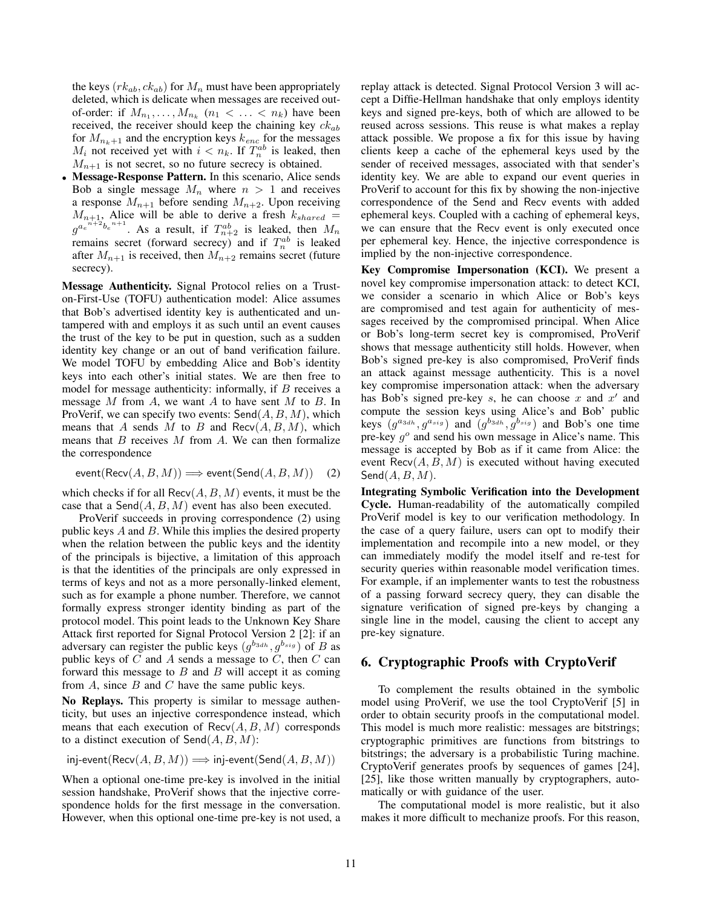the keys  $(rk_{ab}, c k_{ab})$  for  $M_n$  must have been appropriately deleted, which is delicate when messages are received outof-order: if  $M_{n_1}, \ldots, M_{n_k}$   $(n_1 < \ldots < n_k)$  have been received, the receiver should keep the chaining key  $ck_{ab}$ for  $M_{n_k+1}$  and the encryption keys  $k_{enc}$  for the messages  $M_i$  not received yet with  $i < n_k$ . If  $T_n^{ab}$  is leaked, then  $M_{n+1}$  is not secret, so no future secrecy is obtained.

Message-Response Pattern. In this scenario, Alice sends Bob a single message  $M_n$  where  $n > 1$  and receives a response  $M_{n+1}$  before sending  $M_{n+2}$ . Upon receiving  $M_{n+1}$ , Alice will be able to derive a fresh  $k_{shared}$  =  $g^{a_e^{n+2}b_e^{n+1}}$ . As a result, if  $T_{n+2}^{ab}$  is leaked, then  $M_n$ remains secret (forward secrecy) and if  $T_n^{ab}$  is leaked after  $M_{n+1}$  is received, then  $M_{n+2}$  remains secret (future secrecy).

Message Authenticity. Signal Protocol relies on a Truston-First-Use (TOFU) authentication model: Alice assumes that Bob's advertised identity key is authenticated and untampered with and employs it as such until an event causes the trust of the key to be put in question, such as a sudden identity key change or an out of band verification failure. We model TOFU by embedding Alice and Bob's identity keys into each other's initial states. We are then free to model for message authenticity: informally, if  $B$  receives a message  $M$  from  $A$ , we want  $A$  to have sent  $M$  to  $B$ . In ProVerif, we can specify two events:  $Send(A, B, M)$ , which means that A sends M to B and  $Recv(A, B, M)$ , which means that  $B$  receives  $M$  from  $A$ . We can then formalize the correspondence

$$
event(Recv(A, B, M)) \Longrightarrow event(Send(A, B, M))
$$
 (2)

which checks if for all  $Recv(A, B, M)$  events, it must be the case that a  $Send(A, B, M)$  event has also been executed.

ProVerif succeeds in proving correspondence (2) using public keys  $A$  and  $B$ . While this implies the desired property when the relation between the public keys and the identity of the principals is bijective, a limitation of this approach is that the identities of the principals are only expressed in terms of keys and not as a more personally-linked element, such as for example a phone number. Therefore, we cannot formally express stronger identity binding as part of the protocol model. This point leads to the Unknown Key Share Attack first reported for Signal Protocol Version 2 [2]: if an adversary can register the public keys  $(g^{b_{3dh}}, g^{b_{sig}})$  of B as public keys of  $C$  and  $A$  sends a message to  $C$ , then  $C$  can forward this message to  $B$  and  $B$  will accept it as coming from  $A$ , since  $B$  and  $C$  have the same public keys.

No Replays. This property is similar to message authenticity, but uses an injective correspondence instead, which means that each execution of  $Recv(A, B, M)$  corresponds to a distinct execution of  $Send(A, B, M)$ :

$$
\mathsf{inj\text{-}event}(\mathsf{Recv}(A, B, M)) \Longrightarrow \mathsf{inj\text{-}event}(\mathsf{Send}(A, B, M))
$$

When a optional one-time pre-key is involved in the initial session handshake, ProVerif shows that the injective correspondence holds for the first message in the conversation. However, when this optional one-time pre-key is not used, a replay attack is detected. Signal Protocol Version 3 will accept a Diffie-Hellman handshake that only employs identity keys and signed pre-keys, both of which are allowed to be reused across sessions. This reuse is what makes a replay attack possible. We propose a fix for this issue by having clients keep a cache of the ephemeral keys used by the sender of received messages, associated with that sender's identity key. We are able to expand our event queries in ProVerif to account for this fix by showing the non-injective correspondence of the Send and Recv events with added ephemeral keys. Coupled with a caching of ephemeral keys, we can ensure that the Recv event is only executed once per ephemeral key. Hence, the injective correspondence is implied by the non-injective correspondence.

Key Compromise Impersonation (KCI). We present a novel key compromise impersonation attack: to detect KCI, we consider a scenario in which Alice or Bob's keys are compromised and test again for authenticity of messages received by the compromised principal. When Alice or Bob's long-term secret key is compromised, ProVerif shows that message authenticity still holds. However, when Bob's signed pre-key is also compromised, ProVerif finds an attack against message authenticity. This is a novel key compromise impersonation attack: when the adversary has Bob's signed pre-key  $s$ , he can choose  $x$  and  $x'$  and compute the session keys using Alice's and Bob' public keys  $(g^{a_{3dh}}, g^{a_{sig}})$  and  $(g^{b_{3dh}}, g^{b_{sig}})$  and Bob's one time pre-key  $g^o$  and send his own message in Alice's name. This message is accepted by Bob as if it came from Alice: the event Recv $(A, B, M)$  is executed without having executed  $Send(A, B, M).$ 

Integrating Symbolic Verification into the Development Cycle. Human-readability of the automatically compiled ProVerif model is key to our verification methodology. In the case of a query failure, users can opt to modify their implementation and recompile into a new model, or they can immediately modify the model itself and re-test for security queries within reasonable model verification times. For example, if an implementer wants to test the robustness of a passing forward secrecy query, they can disable the signature verification of signed pre-keys by changing a single line in the model, causing the client to accept any pre-key signature.

### 6. Cryptographic Proofs with CryptoVerif

To complement the results obtained in the symbolic model using ProVerif, we use the tool CryptoVerif [5] in order to obtain security proofs in the computational model. This model is much more realistic: messages are bitstrings; cryptographic primitives are functions from bitstrings to bitstrings; the adversary is a probabilistic Turing machine. CryptoVerif generates proofs by sequences of games [24], [25], like those written manually by cryptographers, automatically or with guidance of the user.

The computational model is more realistic, but it also makes it more difficult to mechanize proofs. For this reason,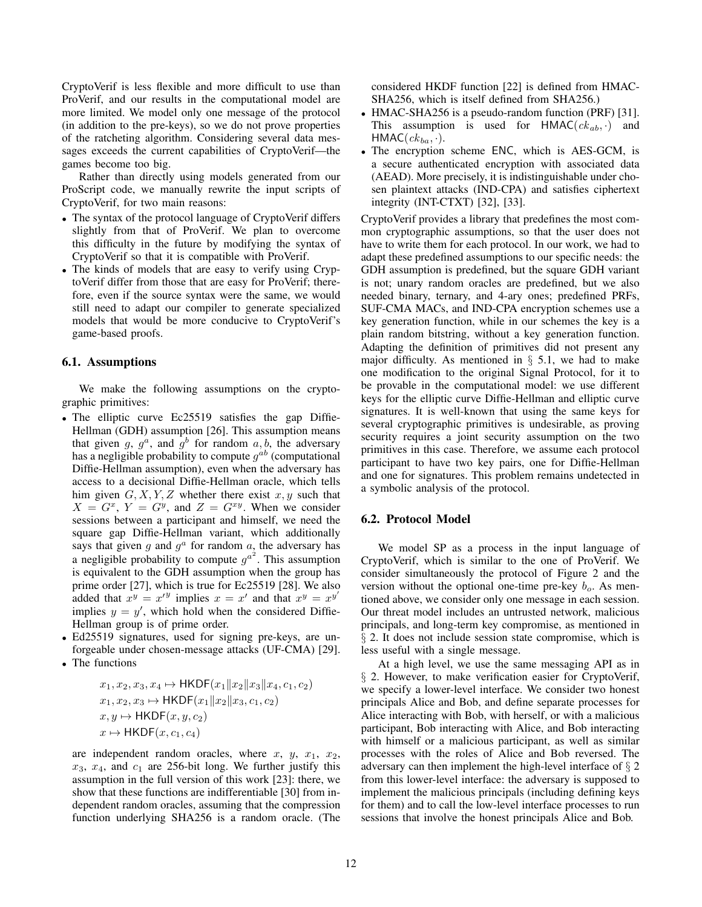CryptoVerif is less flexible and more difficult to use than ProVerif, and our results in the computational model are more limited. We model only one message of the protocol (in addition to the pre-keys), so we do not prove properties of the ratcheting algorithm. Considering several data messages exceeds the current capabilities of CryptoVerif—the games become too big.

Rather than directly using models generated from our ProScript code, we manually rewrite the input scripts of CryptoVerif, for two main reasons:

- The syntax of the protocol language of CryptoVerif differs slightly from that of ProVerif. We plan to overcome this difficulty in the future by modifying the syntax of CryptoVerif so that it is compatible with ProVerif.
- The kinds of models that are easy to verify using CryptoVerif differ from those that are easy for ProVerif; therefore, even if the source syntax were the same, we would still need to adapt our compiler to generate specialized models that would be more conducive to CryptoVerif's game-based proofs.

## 6.1. Assumptions

We make the following assumptions on the cryptographic primitives:

- The elliptic curve Ec25519 satisfies the gap Diffie-Hellman (GDH) assumption [26]. This assumption means that given g,  $g^a$ , and  $g^b$  for random a, b, the adversary has a negligible probability to compute  $g^{ab}$  (computational Diffie-Hellman assumption), even when the adversary has access to a decisional Diffie-Hellman oracle, which tells him given  $G, X, Y, Z$  whether there exist x, y such that  $X = G^x$ ,  $Y = G^y$ , and  $Z = G^{xy}$ . When we consider sessions between a participant and himself, we need the square gap Diffie-Hellman variant, which additionally says that given g and  $g^a$  for random  $a$ , the adversary has a negligible probability to compute  $g^{a^2}$ . This assumption is equivalent to the GDH assumption when the group has prime order [27], which is true for Ec25519 [28]. We also added that  $x^y = x'^y$  implies  $x = x'$  and that  $x^y = x^{y'}$ implies  $y = y'$ , which hold when the considered Diffie-Hellman group is of prime order.
- Ed25519 signatures, used for signing pre-keys, are unforgeable under chosen-message attacks (UF-CMA) [29].
- The functions

$$
x_1, x_2, x_3, x_4 \mapsto \text{HKDF}(x_1 \|x_2\|x_3\|x_4, c_1, c_2)
$$
  
\n
$$
x_1, x_2, x_3 \mapsto \text{HKDF}(x_1 \|x_2\|x_3, c_1, c_2)
$$
  
\n
$$
x, y \mapsto \text{HKDF}(x, y, c_2)
$$
  
\n
$$
x \mapsto \text{HKDF}(x, c_1, c_4)
$$

are independent random oracles, where  $x$ ,  $y$ ,  $x_1$ ,  $x_2$ ,  $x_3, x_4$ , and  $c_1$  are 256-bit long. We further justify this assumption in the full version of this work [23]: there, we show that these functions are indifferentiable [30] from independent random oracles, assuming that the compression function underlying SHA256 is a random oracle. (The considered HKDF function [22] is defined from HMAC-SHA256, which is itself defined from SHA256.)

- HMAC-SHA256 is a pseudo-random function (PRF) [31]. This assumption is used for  $HMAC(ck_{ab}, \cdot)$  and  $HMAC(ck_{ba}, \cdot).$
- The encryption scheme ENC, which is AES-GCM, is a secure authenticated encryption with associated data (AEAD). More precisely, it is indistinguishable under chosen plaintext attacks (IND-CPA) and satisfies ciphertext integrity (INT-CTXT) [32], [33].

CryptoVerif provides a library that predefines the most common cryptographic assumptions, so that the user does not have to write them for each protocol. In our work, we had to adapt these predefined assumptions to our specific needs: the GDH assumption is predefined, but the square GDH variant is not; unary random oracles are predefined, but we also needed binary, ternary, and 4-ary ones; predefined PRFs, SUF-CMA MACs, and IND-CPA encryption schemes use a key generation function, while in our schemes the key is a plain random bitstring, without a key generation function. Adapting the definition of primitives did not present any major difficulty. As mentioned in  $\S$  5.1, we had to make one modification to the original Signal Protocol, for it to be provable in the computational model: we use different keys for the elliptic curve Diffie-Hellman and elliptic curve signatures. It is well-known that using the same keys for several cryptographic primitives is undesirable, as proving security requires a joint security assumption on the two primitives in this case. Therefore, we assume each protocol participant to have two key pairs, one for Diffie-Hellman and one for signatures. This problem remains undetected in a symbolic analysis of the protocol.

#### 6.2. Protocol Model

We model SP as a process in the input language of CryptoVerif, which is similar to the one of ProVerif. We consider simultaneously the protocol of Figure 2 and the version without the optional one-time pre-key  $b<sub>o</sub>$ . As mentioned above, we consider only one message in each session. Our threat model includes an untrusted network, malicious principals, and long-term key compromise, as mentioned in § 2. It does not include session state compromise, which is less useful with a single message.

At a high level, we use the same messaging API as in § 2. However, to make verification easier for CryptoVerif, we specify a lower-level interface. We consider two honest principals Alice and Bob, and define separate processes for Alice interacting with Bob, with herself, or with a malicious participant, Bob interacting with Alice, and Bob interacting with himself or a malicious participant, as well as similar processes with the roles of Alice and Bob reversed. The adversary can then implement the high-level interface of § 2 from this lower-level interface: the adversary is supposed to implement the malicious principals (including defining keys for them) and to call the low-level interface processes to run sessions that involve the honest principals Alice and Bob.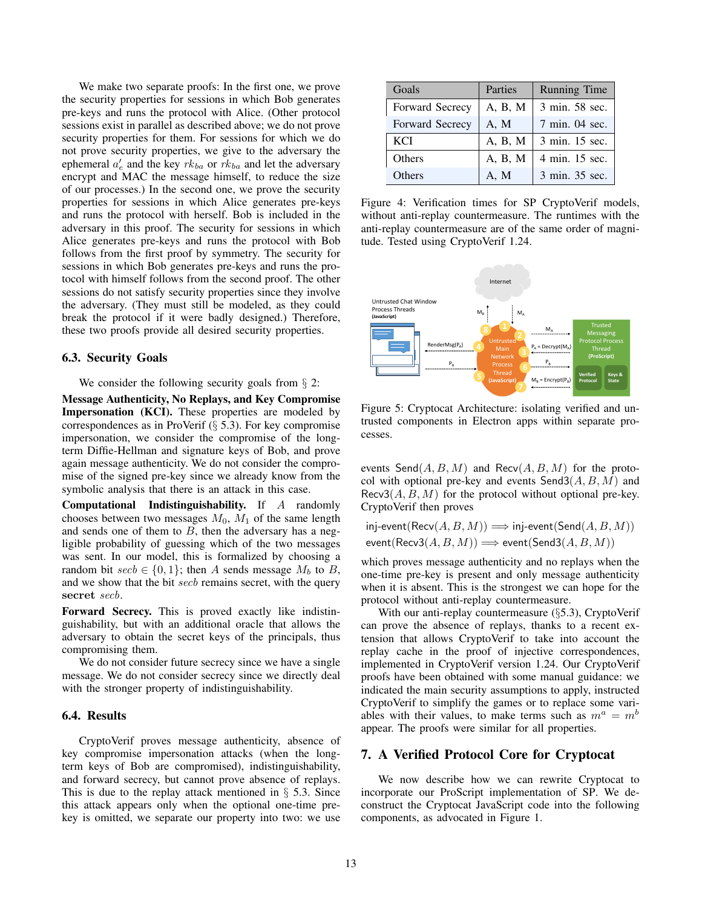We make two separate proofs: In the first one, we prove the security properties for sessions in which Bob generates pre-keys and runs the protocol with Alice. (Other protocol sessions exist in parallel as described above; we do not prove security properties for them. For sessions for which we do not prove security properties, we give to the adversary the ephemeral  $a'_e$  and the key  $rk_{ba}$  or  $rk_{ba}$  and let the adversary encrypt and MAC the message himself, to reduce the size of our processes.) In the second one, we prove the security properties for sessions in which Alice generates pre-keys and runs the protocol with herself. Bob is included in the adversary in this proof. The security for sessions in which Alice generates pre-keys and runs the protocol with Bob follows from the first proof by symmetry. The security for sessions in which Bob generates pre-keys and runs the protocol with himself follows from the second proof. The other sessions do not satisfy security properties since they involve the adversary. (They must still be modeled, as they could break the protocol if it were badly designed.) Therefore, these two proofs provide all desired security properties.

#### 6.3. Security Goals

We consider the following security goals from  $\S$  2:

Message Authenticity, No Replays, and Key Compromise Impersonation (KCI). These properties are modeled by correspondences as in ProVerif  $(\S 5.3)$ . For key compromise impersonation, we consider the compromise of the longterm Diffie-Hellman and signature keys of Bob, and prove again message authenticity. We do not consider the compromise of the signed pre-key since we already know from the symbolic analysis that there is an attack in this case.

Computational Indistinguishability. If A randomly chooses between two messages  $M_0$ ,  $M_1$  of the same length and sends one of them to  $B$ , then the adversary has a negligible probability of guessing which of the two messages was sent. In our model, this is formalized by choosing a random bit  $\text{sec}b \in \{0, 1\}$ ; then A sends message  $M_b$  to B, and we show that the bit secb remains secret, with the query secret sech.

Forward Secrecy. This is proved exactly like indistinguishability, but with an additional oracle that allows the adversary to obtain the secret keys of the principals, thus compromising them.

We do not consider future secrecy since we have a single message. We do not consider secrecy since we directly deal with the stronger property of indistinguishability.

#### 6.4. Results

CryptoVerif proves message authenticity, absence of key compromise impersonation attacks (when the longterm keys of Bob are compromised), indistinguishability, and forward secrecy, but cannot prove absence of replays. This is due to the replay attack mentioned in  $\S$  5.3. Since this attack appears only when the optional one-time prekey is omitted, we separate our property into two: we use

| Goals           | Parties | <b>Running Time</b> |
|-----------------|---------|---------------------|
| Forward Secrecy | A, B, M | 3 min. 58 sec.      |
| Forward Secrecy | A, M    | 7 min. 04 sec.      |
| <b>KCI</b>      | A, B, M | 3 min. 15 sec.      |
| Others          | A, B, M | 4 min. 15 sec.      |
| Others          | A. M    | 3 min. 35 sec.      |

Figure 4: Verification times for SP CryptoVerif models, without anti-replay countermeasure. The runtimes with the anti-replay countermeasure are of the same order of magnitude. Tested using CryptoVerif 1.24.



Figure 5: Cryptocat Architecture: isolating verified and untrusted components in Electron apps within separate processes.

events  $Send(A, B, M)$  and  $Recv(A, B, M)$  for the protocol with optional pre-key and events  $Send3(A, B, M)$  and  $Recv3(A, B, M)$  for the protocol without optional pre-key. CryptoVerif then proves

$$
inj-event(Recv(A, B, M)) \Longrightarrow inj-event(Send(A, B, M))
$$
  
event(Recv3(A, B, M))  $\Longrightarrow$  event(Send3(A, B, M))

which proves message authenticity and no replays when the one-time pre-key is present and only message authenticity when it is absent. This is the strongest we can hope for the protocol without anti-replay countermeasure.

With our anti-replay countermeasure (§5.3), CryptoVerif can prove the absence of replays, thanks to a recent extension that allows CryptoVerif to take into account the replay cache in the proof of injective correspondences, implemented in CryptoVerif version 1.24. Our CryptoVerif proofs have been obtained with some manual guidance: we indicated the main security assumptions to apply, instructed CryptoVerif to simplify the games or to replace some variables with their values, to make terms such as  $m^a = m^b$ appear. The proofs were similar for all properties.

### 7. A Verified Protocol Core for Cryptocat

We now describe how we can rewrite Cryptocat to incorporate our ProScript implementation of SP. We deconstruct the Cryptocat JavaScript code into the following components, as advocated in Figure 1.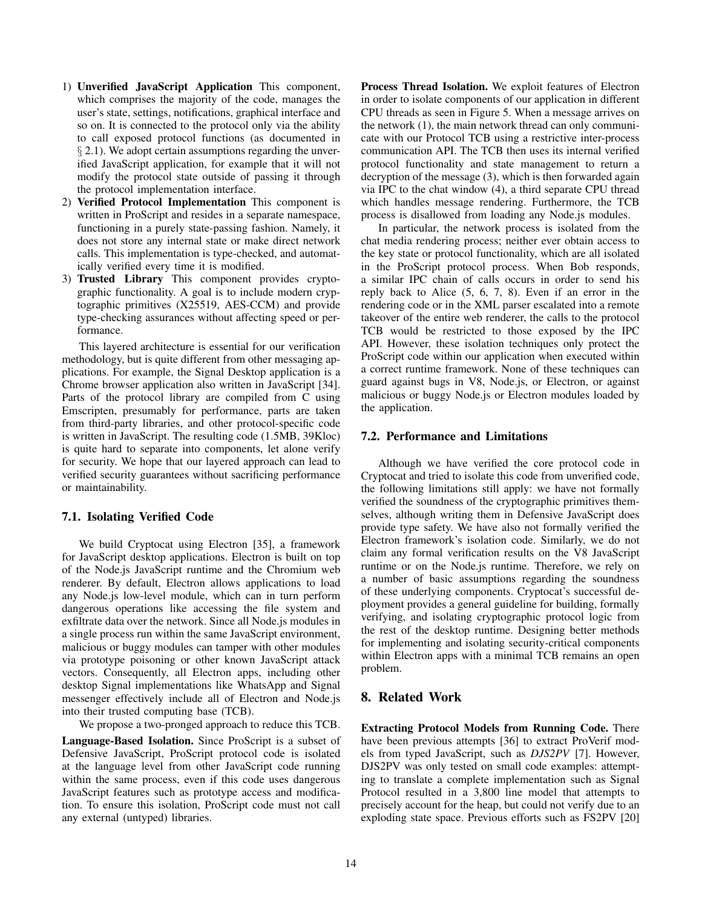- 1) Unverified JavaScript Application This component, which comprises the majority of the code, manages the user's state, settings, notifications, graphical interface and so on. It is connected to the protocol only via the ability to call exposed protocol functions (as documented in  $\S$  2.1). We adopt certain assumptions regarding the unverified JavaScript application, for example that it will not modify the protocol state outside of passing it through the protocol implementation interface.
- 2) Verified Protocol Implementation This component is written in ProScript and resides in a separate namespace, functioning in a purely state-passing fashion. Namely, it does not store any internal state or make direct network calls. This implementation is type-checked, and automatically verified every time it is modified.
- 3) Trusted Library This component provides cryptographic functionality. A goal is to include modern cryptographic primitives (X25519, AES-CCM) and provide type-checking assurances without affecting speed or performance.

This layered architecture is essential for our verification methodology, but is quite different from other messaging applications. For example, the Signal Desktop application is a Chrome browser application also written in JavaScript [34]. Parts of the protocol library are compiled from C using Emscripten, presumably for performance, parts are taken from third-party libraries, and other protocol-specific code is written in JavaScript. The resulting code (1.5MB, 39Kloc) is quite hard to separate into components, let alone verify for security. We hope that our layered approach can lead to verified security guarantees without sacrificing performance or maintainability.

## 7.1. Isolating Verified Code

We build Cryptocat using Electron [35], a framework for JavaScript desktop applications. Electron is built on top of the Node.js JavaScript runtime and the Chromium web renderer. By default, Electron allows applications to load any Node.js low-level module, which can in turn perform dangerous operations like accessing the file system and exfiltrate data over the network. Since all Node.js modules in a single process run within the same JavaScript environment, malicious or buggy modules can tamper with other modules via prototype poisoning or other known JavaScript attack vectors. Consequently, all Electron apps, including other desktop Signal implementations like WhatsApp and Signal messenger effectively include all of Electron and Node.js into their trusted computing base (TCB).

We propose a two-pronged approach to reduce this TCB.

Language-Based Isolation. Since ProScript is a subset of Defensive JavaScript, ProScript protocol code is isolated at the language level from other JavaScript code running within the same process, even if this code uses dangerous JavaScript features such as prototype access and modification. To ensure this isolation, ProScript code must not call any external (untyped) libraries.

Process Thread Isolation. We exploit features of Electron in order to isolate components of our application in different CPU threads as seen in Figure 5. When a message arrives on the network (1), the main network thread can only communicate with our Protocol TCB using a restrictive inter-process communication API. The TCB then uses its internal verified protocol functionality and state management to return a decryption of the message (3), which is then forwarded again via IPC to the chat window (4), a third separate CPU thread which handles message rendering. Furthermore, the TCB process is disallowed from loading any Node.js modules.

In particular, the network process is isolated from the chat media rendering process; neither ever obtain access to the key state or protocol functionality, which are all isolated in the ProScript protocol process. When Bob responds, a similar IPC chain of calls occurs in order to send his reply back to Alice (5, 6, 7, 8). Even if an error in the rendering code or in the XML parser escalated into a remote takeover of the entire web renderer, the calls to the protocol TCB would be restricted to those exposed by the IPC API. However, these isolation techniques only protect the ProScript code within our application when executed within a correct runtime framework. None of these techniques can guard against bugs in V8, Node.js, or Electron, or against malicious or buggy Node.js or Electron modules loaded by the application.

#### 7.2. Performance and Limitations

Although we have verified the core protocol code in Cryptocat and tried to isolate this code from unverified code, the following limitations still apply: we have not formally verified the soundness of the cryptographic primitives themselves, although writing them in Defensive JavaScript does provide type safety. We have also not formally verified the Electron framework's isolation code. Similarly, we do not claim any formal verification results on the V8 JavaScript runtime or on the Node.js runtime. Therefore, we rely on a number of basic assumptions regarding the soundness of these underlying components. Cryptocat's successful deployment provides a general guideline for building, formally verifying, and isolating cryptographic protocol logic from the rest of the desktop runtime. Designing better methods for implementing and isolating security-critical components within Electron apps with a minimal TCB remains an open problem.

## 8. Related Work

Extracting Protocol Models from Running Code. There have been previous attempts [36] to extract ProVerif models from typed JavaScript, such as *DJS2PV* [7]. However, DJS2PV was only tested on small code examples: attempting to translate a complete implementation such as Signal Protocol resulted in a 3,800 line model that attempts to precisely account for the heap, but could not verify due to an exploding state space. Previous efforts such as FS2PV [20]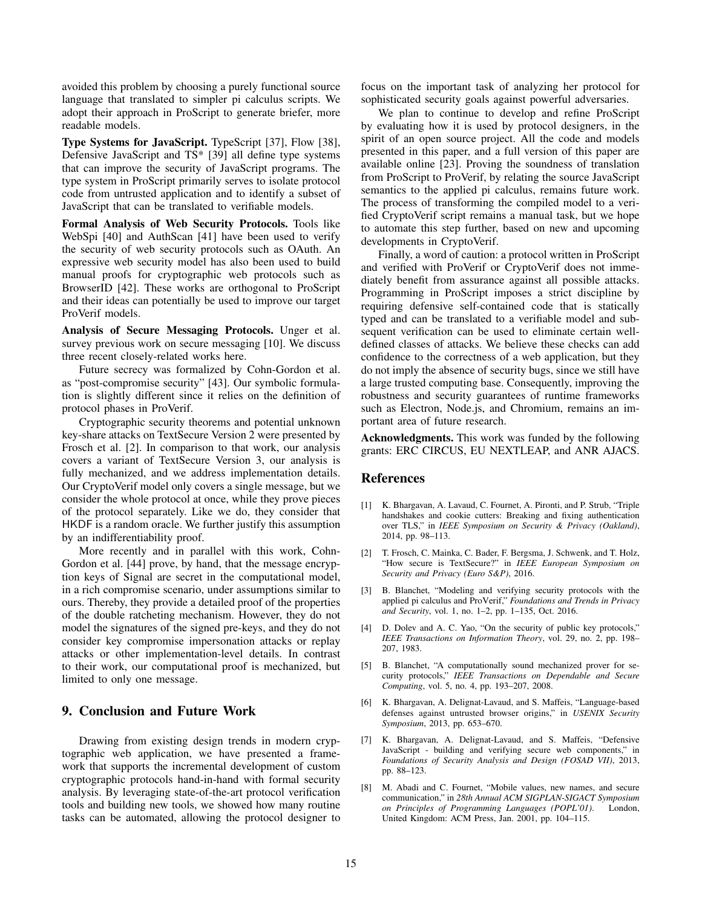avoided this problem by choosing a purely functional source language that translated to simpler pi calculus scripts. We adopt their approach in ProScript to generate briefer, more readable models.

Type Systems for JavaScript. TypeScript [37], Flow [38], Defensive JavaScript and TS\* [39] all define type systems that can improve the security of JavaScript programs. The type system in ProScript primarily serves to isolate protocol code from untrusted application and to identify a subset of JavaScript that can be translated to verifiable models.

Formal Analysis of Web Security Protocols. Tools like WebSpi [40] and AuthScan [41] have been used to verify the security of web security protocols such as OAuth. An expressive web security model has also been used to build manual proofs for cryptographic web protocols such as BrowserID [42]. These works are orthogonal to ProScript and their ideas can potentially be used to improve our target ProVerif models.

Analysis of Secure Messaging Protocols. Unger et al. survey previous work on secure messaging [10]. We discuss three recent closely-related works here.

Future secrecy was formalized by Cohn-Gordon et al. as "post-compromise security" [43]. Our symbolic formulation is slightly different since it relies on the definition of protocol phases in ProVerif.

Cryptographic security theorems and potential unknown key-share attacks on TextSecure Version 2 were presented by Frosch et al. [2]. In comparison to that work, our analysis covers a variant of TextSecure Version 3, our analysis is fully mechanized, and we address implementation details. Our CryptoVerif model only covers a single message, but we consider the whole protocol at once, while they prove pieces of the protocol separately. Like we do, they consider that HKDF is a random oracle. We further justify this assumption by an indifferentiability proof.

More recently and in parallel with this work, Cohn-Gordon et al. [44] prove, by hand, that the message encryption keys of Signal are secret in the computational model, in a rich compromise scenario, under assumptions similar to ours. Thereby, they provide a detailed proof of the properties of the double ratcheting mechanism. However, they do not model the signatures of the signed pre-keys, and they do not consider key compromise impersonation attacks or replay attacks or other implementation-level details. In contrast to their work, our computational proof is mechanized, but limited to only one message.

## 9. Conclusion and Future Work

Drawing from existing design trends in modern cryptographic web application, we have presented a framework that supports the incremental development of custom cryptographic protocols hand-in-hand with formal security analysis. By leveraging state-of-the-art protocol verification tools and building new tools, we showed how many routine tasks can be automated, allowing the protocol designer to focus on the important task of analyzing her protocol for sophisticated security goals against powerful adversaries.

We plan to continue to develop and refine ProScript by evaluating how it is used by protocol designers, in the spirit of an open source project. All the code and models presented in this paper, and a full version of this paper are available online [23]. Proving the soundness of translation from ProScript to ProVerif, by relating the source JavaScript semantics to the applied pi calculus, remains future work. The process of transforming the compiled model to a verified CryptoVerif script remains a manual task, but we hope to automate this step further, based on new and upcoming developments in CryptoVerif.

Finally, a word of caution: a protocol written in ProScript and verified with ProVerif or CryptoVerif does not immediately benefit from assurance against all possible attacks. Programming in ProScript imposes a strict discipline by requiring defensive self-contained code that is statically typed and can be translated to a verifiable model and subsequent verification can be used to eliminate certain welldefined classes of attacks. We believe these checks can add confidence to the correctness of a web application, but they do not imply the absence of security bugs, since we still have a large trusted computing base. Consequently, improving the robustness and security guarantees of runtime frameworks such as Electron, Node.js, and Chromium, remains an important area of future research.

Acknowledgments. This work was funded by the following grants: ERC CIRCUS, EU NEXTLEAP, and ANR AJACS.

## References

- [1] K. Bhargavan, A. Lavaud, C. Fournet, A. Pironti, and P. Strub, "Triple handshakes and cookie cutters: Breaking and fixing authentication over TLS," in *IEEE Symposium on Security & Privacy (Oakland)*, 2014, pp. 98–113.
- [2] T. Frosch, C. Mainka, C. Bader, F. Bergsma, J. Schwenk, and T. Holz, "How secure is TextSecure?" in *IEEE European Symposium on Security and Privacy (Euro S&P)*, 2016.
- [3] B. Blanchet, "Modeling and verifying security protocols with the applied pi calculus and ProVerif," *Foundations and Trends in Privacy and Security*, vol. 1, no. 1–2, pp. 1–135, Oct. 2016.
- [4] D. Dolev and A. C. Yao, "On the security of public key protocols," *IEEE Transactions on Information Theory*, vol. 29, no. 2, pp. 198– 207, 1983.
- [5] B. Blanchet, "A computationally sound mechanized prover for security protocols," *IEEE Transactions on Dependable and Secure Computing*, vol. 5, no. 4, pp. 193–207, 2008.
- [6] K. Bhargavan, A. Delignat-Lavaud, and S. Maffeis, "Language-based defenses against untrusted browser origins," in *USENIX Security Symposium*, 2013, pp. 653–670.
- [7] K. Bhargavan, A. Delignat-Lavaud, and S. Maffeis, "Defensive JavaScript - building and verifying secure web components," in *Foundations of Security Analysis and Design (FOSAD VII)*, 2013, pp. 88–123.
- [8] M. Abadi and C. Fournet, "Mobile values, new names, and secure communication," in *28th Annual ACM SIGPLAN-SIGACT Symposium on Principles of Programming Languages (POPL'01)*. London, United Kingdom: ACM Press, Jan. 2001, pp. 104–115.